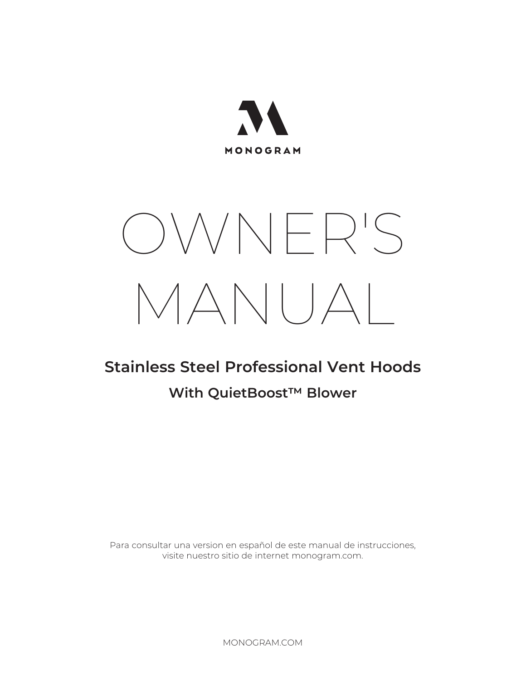

# OWNER'S MANUAL

## **Stainless Steel Professional Vent Hoods**

## **With QuietBoost™ Blower**

Para consultar una version en español de este manual de instrucciones, visite nuestro sitio de internet monogram.com.

MONOGRAM.COM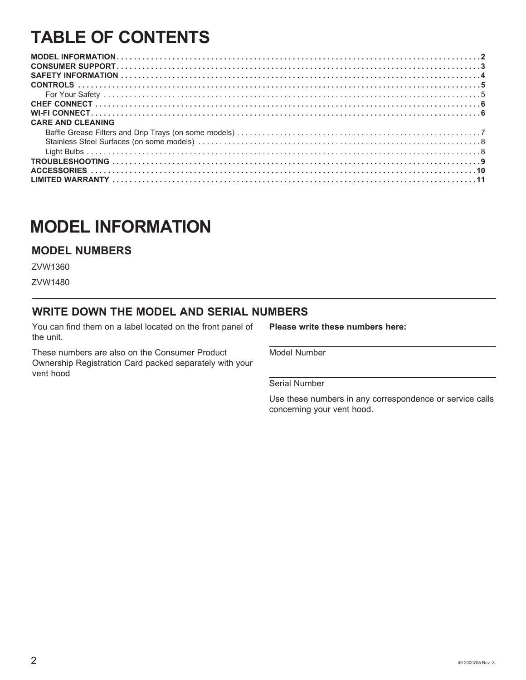## **TABLE OF CONTENTS**

| <b>CARE AND CLEANING</b> |  |
|--------------------------|--|
|                          |  |
|                          |  |
|                          |  |
|                          |  |
|                          |  |
|                          |  |

## **MODEL INFORMATION**

#### **MODEL NUMBERS**

ZVW1480

#### **WRITE DOWN THE MODEL AND SERIAL NUMBERS**

You can find them on a label located on the front panel of the unit.

These numbers are also on the Consumer Product Ownership Registration Card packed separately with your vent hood

**Please write these numbers here:**

Model Number

Serial Number

Use these numbers in any correspondence or service calls concerning your vent hood.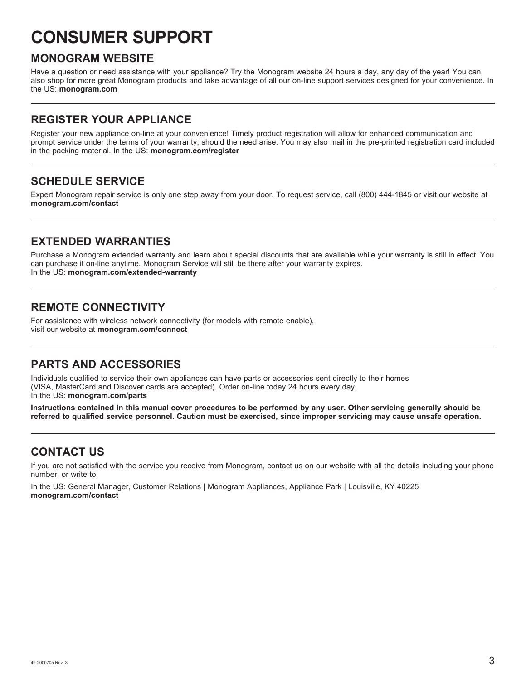## **CONSUMER SUPPORT**

#### **MONOGRAM WEBSITE**

Have a question or need assistance with your appliance? Try the Monogram website 24 hours a day, any day of the year! You can also shop for more great Monogram products and take advantage of all our on-line support services designed for your convenience. In the US: **monogram.com**

#### **REGISTER YOUR APPLIANCE**

Register your new appliance on-line at your convenience! Timely product registration will allow for enhanced communication and prompt service under the terms of your warranty, should the need arise. You may also mail in the pre-printed registration card included in the packing material. In the US: **monogram.com/register**

#### **SCHEDULE SERVICE**

Expert Monogram repair service is only one step away from your door. To request service, call (800) 444-1845 or visit our website at **monogram.com/contact**

#### **EXTENDED WARRANTIES**

Purchase a Monogram extended warranty and learn about special discounts that are available while your warranty is still in effect. You can purchase it on-line anytime. Monogram Service will still be there after your warranty expires. In the US: **monogram.com/extended-warranty**

#### **REMOTE CONNECTIVITY**

For assistance with wireless network connectivity (for models with remote enable), visit our website at **monogram.com/connect**

#### **PARTS AND ACCESSORIES**

Individuals qualified to service their own appliances can have parts or accessories sent directly to their homes (VISA, MasterCard and Discover cards are accepted). Order on-line today 24 hours every day. In the US: **monogram.com/parts**

**Instructions contained in this manual cover procedures to be performed by any user. Other servicing generally should be referred to qualified service personnel. Caution must be exercised, since improper servicing may cause unsafe operation.**

#### **CONTACT US**

If you are not satisfied with the service you receive from Monogram, contact us on our website with all the details including your phone number, or write to:

In the US: General Manager, Customer Relations | Monogram Appliances, Appliance Park | Louisville, KY 40225 **monogram.com/contact**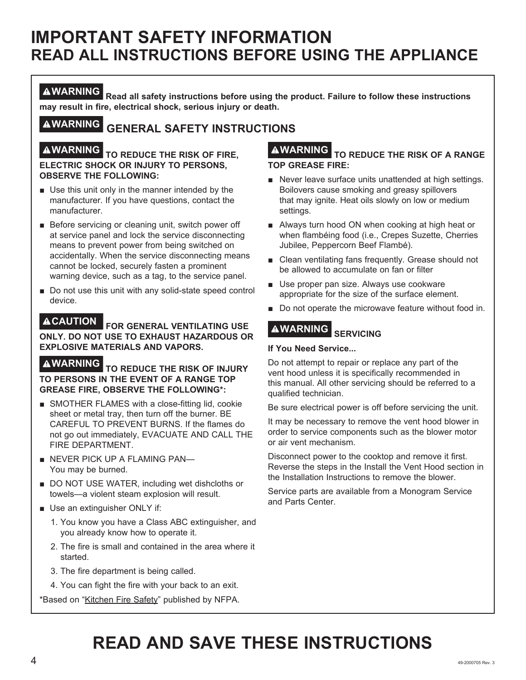## **IMPORTANT SAFETY INFORMATION READ ALL INSTRUCTIONS BEFORE USING THE APPLIANCE**

**WARNING Read all safety instructions before using the product. Failure to follow these instructions may result in fire, electrical shock, serious injury or death.**

## **WARNING GENERAL SAFETY INSTRUCTIONS**

#### **WARNING TO REDUCE THE RISK OF FIRE, ELECTRIC SHOCK OR INJURY TO PERSONS, OBSERVE THE FOLLOWING:**

- Use this unit only in the manner intended by the manufacturer. If you have questions, contact the manufacturer.
- Before servicing or cleaning unit, switch power off at service panel and lock the service disconnecting means to prevent power from being switched on accidentally. When the service disconnecting means cannot be locked, securely fasten a prominent warning device, such as a tag, to the service panel.
- Do not use this unit with any solid-state speed control device.

**CAUTION FOR GENERAL VENTILATING USE ONLY. DO NOT USE TO EXHAUST HAZARDOUS OR EXPLOSIVE MATERIALS AND VAPORS.**

**WARNING TO REDUCE THE RISK OF INJURY TO PERSONS IN THE EVENT OF A RANGE TOP GREASE FIRE, OBSERVE THE FOLLOWING\*:**

- SMOTHER FLAMES with a close-fitting lid, cookie sheet or metal tray, then turn off the burner. BE CAREFUL TO PREVENT BURNS. If the flames do not go out immediately, EVACUATE AND CALL THE FIRE DEPARTMENT.
- NEVER PICK UP A FLAMING PAN-You may be burned.
- DO NOT USE WATER, including wet dishcloths or towels—a violent steam explosion will result.
- Use an extinguisher ONLY if:
	- 1. You know you have a Class ABC extinguisher, and you already know how to operate it.
	- 2. The fire is small and contained in the area where it started.
	- 3. The fire department is being called.
	- 4. You can fight the fire with your back to an exit.

\*Based on "Kitchen Fire Safety" published by NFPA.

#### **WARNING TO REDUCE THE RISK OF A RANGE TOP GREASE FIRE:**

- Never leave surface units unattended at high settings. Boilovers cause smoking and greasy spillovers that may ignite. Heat oils slowly on low or medium settings.
- Always turn hood ON when cooking at high heat or when flambéing food (i.e., Crepes Suzette, Cherries Jubilee, Peppercorn Beef Flambé).
- Clean ventilating fans frequently. Grease should not be allowed to accumulate on fan or filter
- Use proper pan size. Always use cookware appropriate for the size of the surface element.
- Do not operate the microwave feature without food in.

## **WARNING SERVICING**

#### **If You Need Service...**

Do not attempt to repair or replace any part of the vent hood unless it is specifically recommended in this manual. All other servicing should be referred to a qualified technician.

Be sure electrical power is off before servicing the unit.

It may be necessary to remove the vent hood blower in order to service components such as the blower motor or air vent mechanism.

Disconnect power to the cooktop and remove it first. Reverse the steps in the Install the Vent Hood section in the Installation Instructions to remove the blower.

Service parts are available from a Monogram Service and Parts Center.

## **READ AND SAVE THESE INSTRUCTIONS**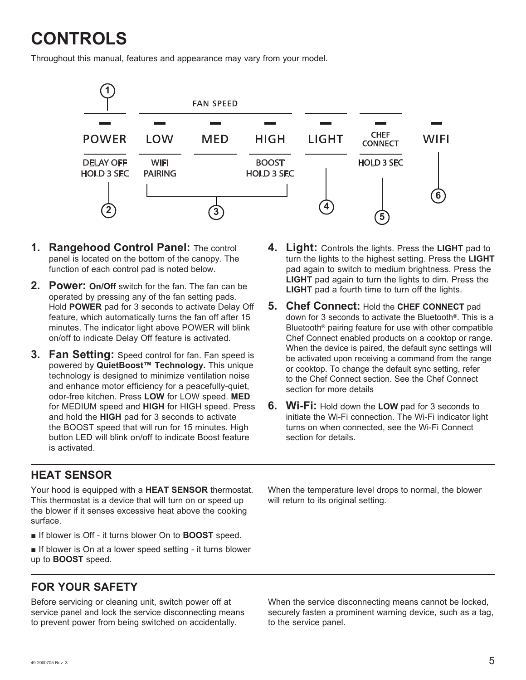# **CONTROLS**

Throughout this manual, features and appearance may vary from your model.



- **1. Rangehood Control Panel:** The control panel is located on the bottom of the canopy. The function of each control pad is noted below.
- **2. Power: On/Off** switch for the fan. The fan can be operated by pressing any of the fan setting pads. Hold **POWER** pad for 3 seconds to activate Delay Off feature, which automatically turns the fan off after 15 minutes. The indicator light above POWER will blink on/off to indicate Delay Off feature is activated.
- **3. Fan Setting:** Speed control for fan. Fan speed is powered by **QuietBoost™ Technology.** This unique technology is designed to minimize ventilation noise and enhance motor efficiency for a peacefully-quiet, odor-free kitchen. Press **LOW** for LOW speed. **MED** for MEDIUM speed and **HIGH** for HIGH speed. Press and hold the **HIGH** pad for 3 seconds to activate the BOOST speed that will run for 15 minutes. High button LED will blink on/off to indicate Boost feature is activated.
- **4. Light:** Controls the lights. Press the **LIGHT** pad to turn the lights to the highest setting. Press the **LIGHT** pad again to switch to medium brightness. Press the **LIGHT** pad again to turn the lights to dim. Press the **LIGHT** pad a fourth time to turn off the lights.
- **5. Chef Connect:** Hold the **CHEF CONNECT** pad down for 3 seconds to activate the Bluetooth®. This is a Bluetooth® pairing feature for use with other compatible Chef Connect enabled products on a cooktop or range. When the device is paired, the default sync settings will be activated upon receiving a command from the range or cooktop. To change the default sync setting, refer to the Chef Connect section. See the Chef Connect section for more details
- **6. Wi-Fi:** Hold down the **LOW** pad for 3 seconds to initiate the Wi-Fi connection. The Wi-Fi indicator light turns on when connected, see the Wi-Fi Connect section for details.

#### **HEAT SENSOR**

Your hood is equipped with a **HEAT SENSOR** thermostat. This thermostat is a device that will turn on or speed up the blower if it senses excessive heat above the cooking surface.

**■** If blower is Off - it turns blower On to **BOOST** speed.

■ If blower is On at a lower speed setting - it turns blower up to **BOOST** speed.

**FOR YOUR SAFETY**

Before servicing or cleaning unit, switch power off at service panel and lock the service disconnecting means to prevent power from being switched on accidentally.

When the temperature level drops to normal, the blower will return to its original setting.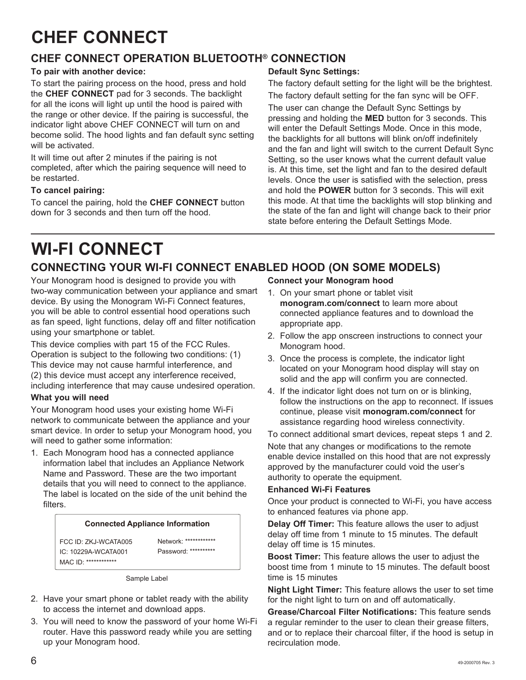## **CHEF CONNECT**

#### **CHEF CONNECT OPERATION BLUETOOTH® CONNECTION**

#### **To pair with another device:**

To start the pairing process on the hood, press and hold the **CHEF CONNECT** pad for 3 seconds. The backlight for all the icons will light up until the hood is paired with the range or other device. If the pairing is successful, the indicator light above CHEF CONNECT will turn on and become solid. The hood lights and fan default sync setting will be activated.

It will time out after 2 minutes if the pairing is not completed, after which the pairing sequence will need to be restarted.

#### **To cancel pairing:**

To cancel the pairing, hold the **CHEF CONNECT** button down for 3 seconds and then turn off the hood.

#### **Default Sync Settings:**

The factory default setting for the light will be the brightest. The factory default setting for the fan sync will be OFF.

The user can change the Default Sync Settings by pressing and holding the **MED** button for 3 seconds. This will enter the Default Settings Mode. Once in this mode, the backlights for all buttons will blink on/off indefinitely and the fan and light will switch to the current Default Sync Setting, so the user knows what the current default value is. At this time, set the light and fan to the desired default levels. Once the user is satisfied with the selection, press and hold the **POWER** button for 3 seconds. This will exit this mode. At that time the backlights will stop blinking and the state of the fan and light will change back to their prior state before entering the Default Settings Mode.

## **WI-FI CONNECT**

## **CONNECTING YOUR WI-FI CONNECT ENABLED HOOD (ON SOME MODELS)**

Your Monogram hood is designed to provide you with two-way communication between your appliance and smart device. By using the Monogram Wi-Fi Connect features, you will be able to control essential hood operations such as fan speed, light functions, delay off and filter notification using your smartphone or tablet.

This device complies with part 15 of the FCC Rules. Operation is subject to the following two conditions: (1) This device may not cause harmful interference, and (2) this device must accept any interference received, including interference that may cause undesired operation.

#### **What you will need**

Your Monogram hood uses your existing home Wi-Fi network to communicate between the appliance and your smart device. In order to setup your Monogram hood, you will need to gather some information:

1. Each Monogram hood has a connected appliance information label that includes an Appliance Network Name and Password. These are the two important details that you will need to connect to the appliance. The label is located on the side of the unit behind the filters.

#### **Connected Appliance Information**

FCC ID: ZKJ-WCATA005 IC: 10229A-WCATA001 MAC ID: \*\*\*\*\*\*\*\*\*\*\*\*

Network: \*\*\*\*\*\*\*\*\*\*\*\* Password: \*\*\*\*\*\*\*\*\*\*

Sample Label

- 2. Have your smart phone or tablet ready with the ability to access the internet and download apps.
- 3. You will need to know the password of your home Wi-Fi router. Have this password ready while you are setting up your Monogram hood.

**Connect your Monogram hood**

- 1. On your smart phone or tablet visit **monogram.com/connect** to learn more about connected appliance features and to download the appropriate app.
- 2. Follow the app onscreen instructions to connect your Monogram hood.
- 3. Once the process is complete, the indicator light located on your Monogram hood display will stay on solid and the app will confirm you are connected.
- 4. If the indicator light does not turn on or is blinking, follow the instructions on the app to reconnect. If issues continue, please visit **monogram.com/connect** for assistance regarding hood wireless connectivity.

To connect additional smart devices, repeat steps 1 and 2.

Note that any changes or modifications to the remote enable device installed on this hood that are not expressly approved by the manufacturer could void the user's authority to operate the equipment.

#### **Enhanced Wi-Fi Features**

Once your product is connected to Wi-Fi, you have access to enhanced features via phone app.

**Delay Off Timer:** This feature allows the user to adjust delay off time from 1 minute to 15 minutes. The default delay off time is 15 minutes.

**Boost Timer:** This feature allows the user to adjust the boost time from 1 minute to 15 minutes. The default boost time is 15 minutes

**Night Light Timer:** This feature allows the user to set time for the night light to turn on and off automatically.

**Grease/Charcoal Filter Notifications:** This feature sends a regular reminder to the user to clean their grease filters, and or to replace their charcoal filter, if the hood is setup in recirculation mode.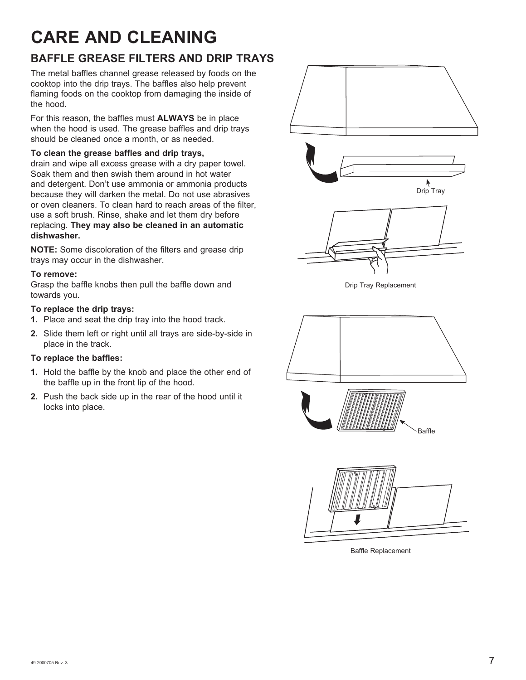## **CARE AND CLEANING**

#### **BAFFLE GREASE FILTERS AND DRIP TRAYS**

The metal baffles channel grease released by foods on the cooktop into the drip trays. The baffles also help prevent flaming foods on the cooktop from damaging the inside of the hood.

For this reason, the baffles must **ALWAYS** be in place when the hood is used. The grease baffles and drip trays should be cleaned once a month, or as needed.

#### **To clean the grease baffles and drip trays,**

drain and wipe all excess grease with a dry paper towel. Soak them and then swish them around in hot water and detergent. Don't use ammonia or ammonia products because they will darken the metal. Do not use abrasives or oven cleaners. To clean hard to reach areas of the filter, use a soft brush. Rinse, shake and let them dry before replacing. **They may also be cleaned in an automatic dishwasher.**

**NOTE:** Some discoloration of the filters and grease drip trays may occur in the dishwasher.

#### **To remove:**

Grasp the baffle knobs then pull the baffle down and towards you.

#### **To replace the drip trays:**

- **1.** Place and seat the drip tray into the hood track.
- **2.** Slide them left or right until all trays are side-by-side in place in the track.

#### **To replace the baffles:**

- **1.** Hold the baffle by the knob and place the other end of the baffle up in the front lip of the hood.
- **2.** Push the back side up in the rear of the hood until it locks into place.



Baffle Replacement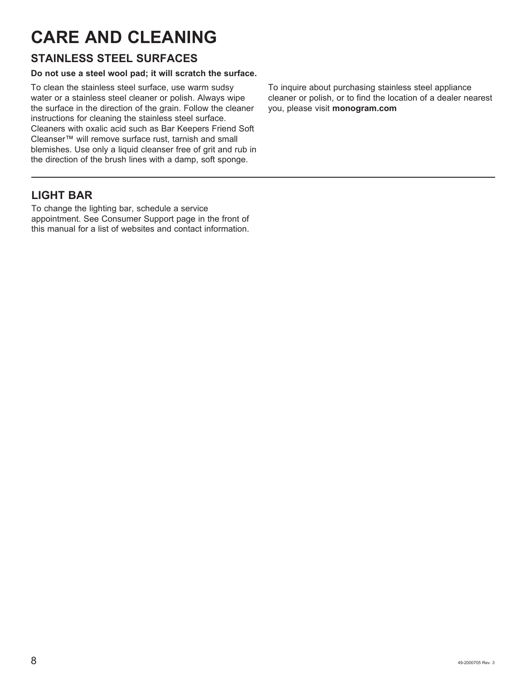## **CARE AND CLEANING**

#### **STAINLESS STEEL SURFACES**

#### **Do not use a steel wool pad; it will scratch the surface.**

To clean the stainless steel surface, use warm sudsy water or a stainless steel cleaner or polish. Always wipe the surface in the direction of the grain. Follow the cleaner instructions for cleaning the stainless steel surface. Cleaners with oxalic acid such as Bar Keepers Friend Soft Cleanser™ will remove surface rust, tarnish and small blemishes. Use only a liquid cleanser free of grit and rub in the direction of the brush lines with a damp, soft sponge.

To inquire about purchasing stainless steel appliance cleaner or polish, or to find the location of a dealer nearest you, please visit **monogram.com**

#### **LIGHT BAR**

To change the lighting bar, schedule a service appointment. See Consumer Support page in the front of this manual for a list of websites and contact information.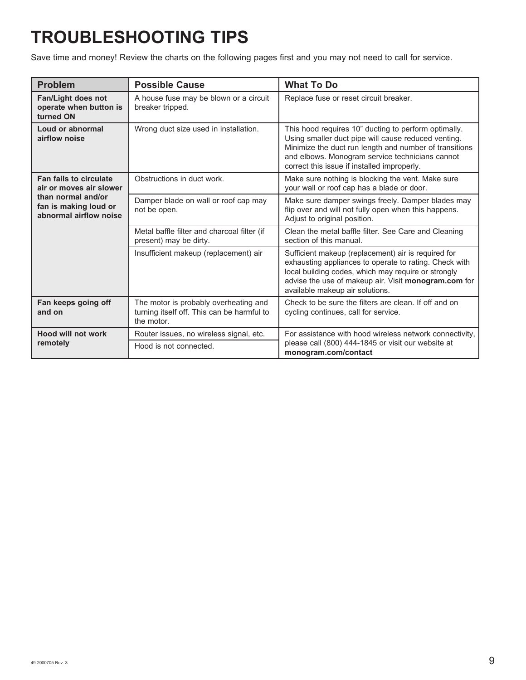# **TROUBLESHOOTING TIPS**

Save time and money! Review the charts on the following pages first and you may not need to call for service.

| <b>Problem</b>                                                        | <b>Possible Cause</b>                                                                             | <b>What To Do</b>                                                                                                                                                                                                                                                       |
|-----------------------------------------------------------------------|---------------------------------------------------------------------------------------------------|-------------------------------------------------------------------------------------------------------------------------------------------------------------------------------------------------------------------------------------------------------------------------|
| Fan/Light does not<br>operate when button is<br>turned ON             | A house fuse may be blown or a circuit<br>breaker tripped.                                        | Replace fuse or reset circuit breaker.                                                                                                                                                                                                                                  |
| Loud or abnormal<br>airflow noise                                     | Wrong duct size used in installation.                                                             | This hood requires 10" ducting to perform optimally.<br>Using smaller duct pipe will cause reduced venting.<br>Minimize the duct run length and number of transitions<br>and elbows. Monogram service technicians cannot<br>correct this issue if installed improperly. |
| Fan fails to circulate<br>air or moves air slower                     | Obstructions in duct work.                                                                        | Make sure nothing is blocking the vent. Make sure<br>your wall or roof cap has a blade or door.                                                                                                                                                                         |
| than normal and/or<br>fan is making loud or<br>abnormal airflow noise | Damper blade on wall or roof cap may<br>not be open.                                              | Make sure damper swings freely. Damper blades may<br>flip over and will not fully open when this happens.<br>Adjust to original position.                                                                                                                               |
|                                                                       | Metal baffle filter and charcoal filter (if<br>present) may be dirty.                             | Clean the metal baffle filter. See Care and Cleaning<br>section of this manual.                                                                                                                                                                                         |
|                                                                       | Insufficient makeup (replacement) air                                                             | Sufficient makeup (replacement) air is required for<br>exhausting appliances to operate to rating. Check with<br>local building codes, which may require or strongly<br>advise the use of makeup air. Visit monogram.com for<br>available makeup air solutions.         |
| Fan keeps going off<br>and on                                         | The motor is probably overheating and<br>turning itself off. This can be harmful to<br>the motor. | Check to be sure the filters are clean. If off and on<br>cycling continues, call for service.                                                                                                                                                                           |
| <b>Hood will not work</b>                                             | Router issues, no wireless signal, etc.                                                           | For assistance with hood wireless network connectivity.<br>please call (800) 444-1845 or visit our website at<br>monogram.com/contact                                                                                                                                   |
| remotely                                                              | Hood is not connected.                                                                            |                                                                                                                                                                                                                                                                         |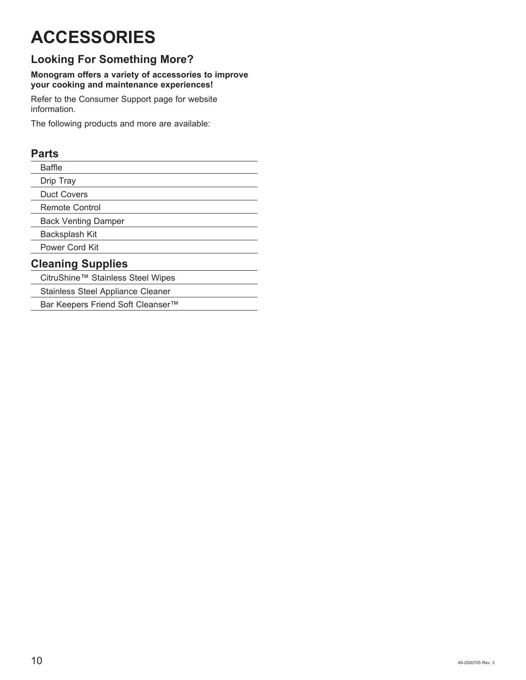# **ACCESSORIES**

## **Looking For Something More?**

#### **Monogram offers a variety of accessories to improve your cooking and maintenance experiences!**

Refer to the Consumer Support page for website information.

The following products and more are available:

#### **Parts**

| Baffle                            |  |  |
|-----------------------------------|--|--|
| Drip Tray                         |  |  |
| <b>Duct Covers</b>                |  |  |
| Remote Control                    |  |  |
| <b>Back Venting Damper</b>        |  |  |
| Backsplash Kit                    |  |  |
| Power Cord Kit                    |  |  |
| <b>Cleaning Supplies</b>          |  |  |
| CitruShine™ Stainless Steel Wipes |  |  |
| Stainless Steel Appliance Cleaner |  |  |
|                                   |  |  |

Bar Keepers Friend Soft Cleanser™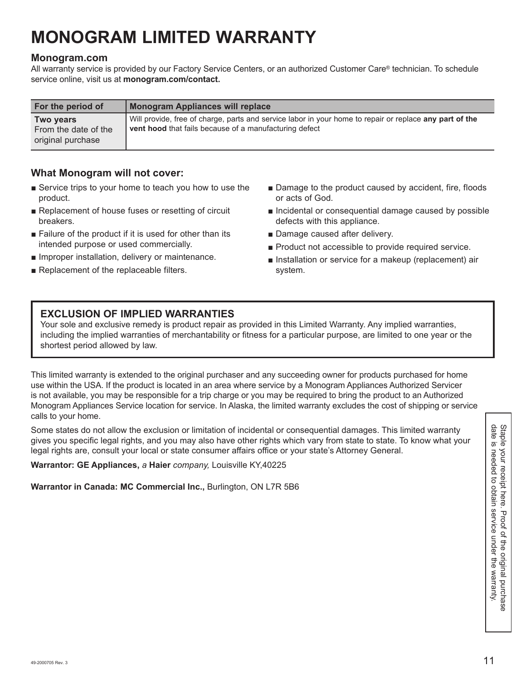## **MONOGRAM LIMITED WARRANTY**

#### **Monogram.com**

All warranty service is provided by our Factory Service Centers, or an authorized Customer Care® technician. To schedule service online, visit us at **monogram.com/contact.**

| For the period of                                      | Monogram Appliances will replace                                                                                                                                         |
|--------------------------------------------------------|--------------------------------------------------------------------------------------------------------------------------------------------------------------------------|
| Two years<br>From the date of the<br>original purchase | Will provide, free of charge, parts and service labor in your home to repair or replace any part of the<br><b>vent hood</b> that fails because of a manufacturing defect |

#### **What Monogram will not cover:**

- Service trips to your home to teach you how to use the product.
- Replacement of house fuses or resetting of circuit breakers.
- Failure of the product if it is used for other than its intended purpose or used commercially.
- Improper installation, delivery or maintenance.
- Replacement of the replaceable filters.
- Damage to the product caused by accident, fire, floods or acts of God.
- Incidental or consequential damage caused by possible defects with this appliance.
- Damage caused after delivery.
- Product not accessible to provide required service.
- Installation or service for a makeup (replacement) air system.

#### **EXCLUSION OF IMPLIED WARRANTIES**

Your sole and exclusive remedy is product repair as provided in this Limited Warranty. Any implied warranties, including the implied warranties of merchantability or fitness for a particular purpose, are limited to one year or the shortest period allowed by law.

This limited warranty is extended to the original purchaser and any succeeding owner for products purchased for home use within the USA. If the product is located in an area where service by a Monogram Appliances Authorized Servicer is not available, you may be responsible for a trip charge or you may be required to bring the product to an Authorized Monogram Appliances Service location for service. In Alaska, the limited warranty excludes the cost of shipping or service calls to your home.

Some states do not allow the exclusion or limitation of incidental or consequential damages. This limited warranty<br>gives you specific legal rights, and you may also have other rights which vary from state to state. To know Some states do not allow the exclusion or limitation of incidental or consequential damages. This limited warranty gives you specific legal rights, and you may also have other rights which vary from state to state. To know what your legal rights are, consult your local or state consumer affairs office or your state's Attorney General.

**Warrantor: GE Appliances,** *a* **Haier** *company,* Louisville KY,40225

**Warrantor in Canada: MC Commercial Inc.,** Burlington, ON L7R 5B6